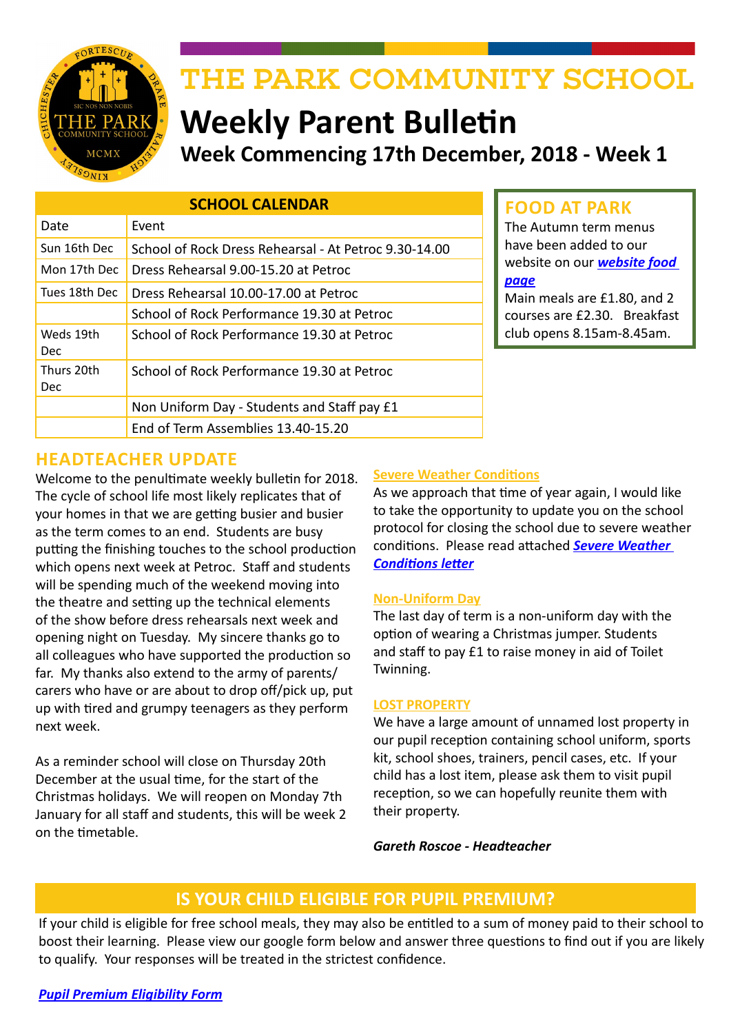

# THE PARK COMMUNITY SCHOOL

# **Weekly Parent Bulletin Week Commencing 17th December, 2018 - Week 1**

| <b>SCHOOL CALENDAR</b>  |                                                       |  |
|-------------------------|-------------------------------------------------------|--|
| Date                    | Event                                                 |  |
| Sun 16th Dec            | School of Rock Dress Rehearsal - At Petroc 9.30-14.00 |  |
| Mon 17th Dec            | Dress Rehearsal 9.00-15.20 at Petroc                  |  |
| Tues 18th Dec           | Dress Rehearsal 10.00-17.00 at Petroc                 |  |
|                         | School of Rock Performance 19.30 at Petroc            |  |
| Weds 19th<br><b>Dec</b> | School of Rock Performance 19.30 at Petroc            |  |
| Thurs 20th<br>Dec       | School of Rock Performance 19.30 at Petroc            |  |
|                         | Non Uniform Day - Students and Staff pay £1           |  |
|                         | End of Term Assemblies 13.40-15.20                    |  |

# **FOOD AT PARK**

The Autumn term menus have been added to our website on our *[website food](http://www.theparkschool.org.uk/food-park)  [page](http://www.theparkschool.org.uk/food-park)*

Main meals are £1.80, and 2 courses are £2.30. Breakfast club opens 8.15am-8.45am.

# **HEADTEACHER UPDATE**

Welcome to the penultimate weekly bulletin for 2018. The cycle of school life most likely replicates that of your homes in that we are getting busier and busier as the term comes to an end. Students are busy putting the finishing touches to the school production which opens next week at Petroc. Staff and students will be spending much of the weekend moving into the theatre and setting up the technical elements of the show before dress rehearsals next week and opening night on Tuesday. My sincere thanks go to all colleagues who have supported the production so far. My thanks also extend to the army of parents/ carers who have or are about to drop off/pick up, put up with tired and grumpy teenagers as they perform next week.

As a reminder school will close on Thursday 20th December at the usual time, for the start of the Christmas holidays. We will reopen on Monday 7th January for all staff and students, this will be week 2 on the timetable.

#### **Severe Weather Conditions**

As we approach that time of year again, I would like to take the opportunity to update you on the school protocol for closing the school due to severe weather conditions. Please read attached *[Severe Weather](http://www.theparkschool.org.uk/sites/default/files/Closure%20of%20School%20-%20Severe%20Weather.pdf)  [Conditions letter](http://www.theparkschool.org.uk/sites/default/files/Closure%20of%20School%20-%20Severe%20Weather.pdf)*

#### **Non-Uniform Day**

The last day of term is a non-uniform day with the option of wearing a Christmas jumper. Students and staff to pay £1 to raise money in aid of Toilet Twinning.

#### **LOST PROPERTY**

We have a large amount of unnamed lost property in our pupil reception containing school uniform, sports kit, school shoes, trainers, pencil cases, etc. If your child has a lost item, please ask them to visit pupil reception, so we can hopefully reunite them with their property.

*Gareth Roscoe - Headteacher*

## **IS YOUR CHILD ELIGIBLE FOR PUPIL PREMIUM?**

If your child is eligible for free school meals, they may also be entitled to a sum of money paid to their school to boost their learning. Please view our google form below and answer three questions to find out if you are likely to qualify. Your responses will be treated in the strictest confidence.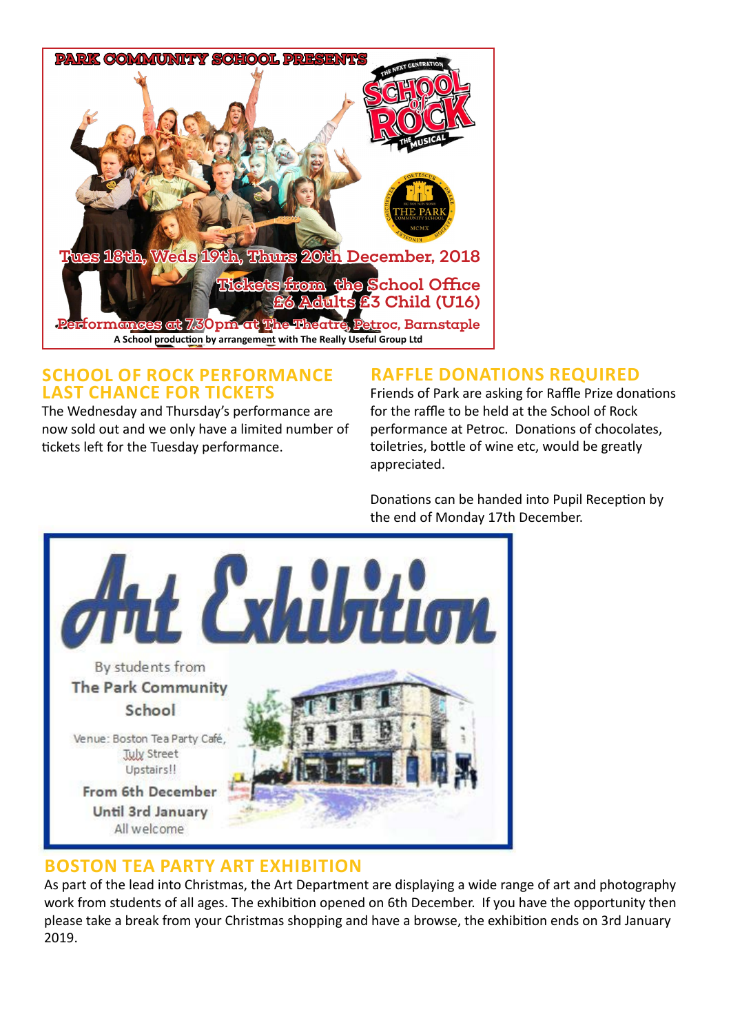

### **SCHOOL OF ROCK PERFORMANCE LAST CHANCE FOR TICKETS**

The Wednesday and Thursday's performance are now sold out and we only have a limited number of tickets left for the Tuesday performance.

# **RAFFLE DONATIONS REQUIRED**

Friends of Park are asking for Raffle Prize donations for the raffle to be held at the School of Rock performance at Petroc. Donations of chocolates, toiletries, bottle of wine etc, would be greatly appreciated.

Donations can be handed into Pupil Reception by the end of Monday 17th December.



# **BOSTON TEA PARTY ART EXHIBITION**

As part of the lead into Christmas, the Art Department are displaying a wide range of art and photography work from students of all ages. The exhibition opened on 6th December. If you have the opportunity then please take a break from your Christmas shopping and have a browse, the exhibition ends on 3rd January 2019.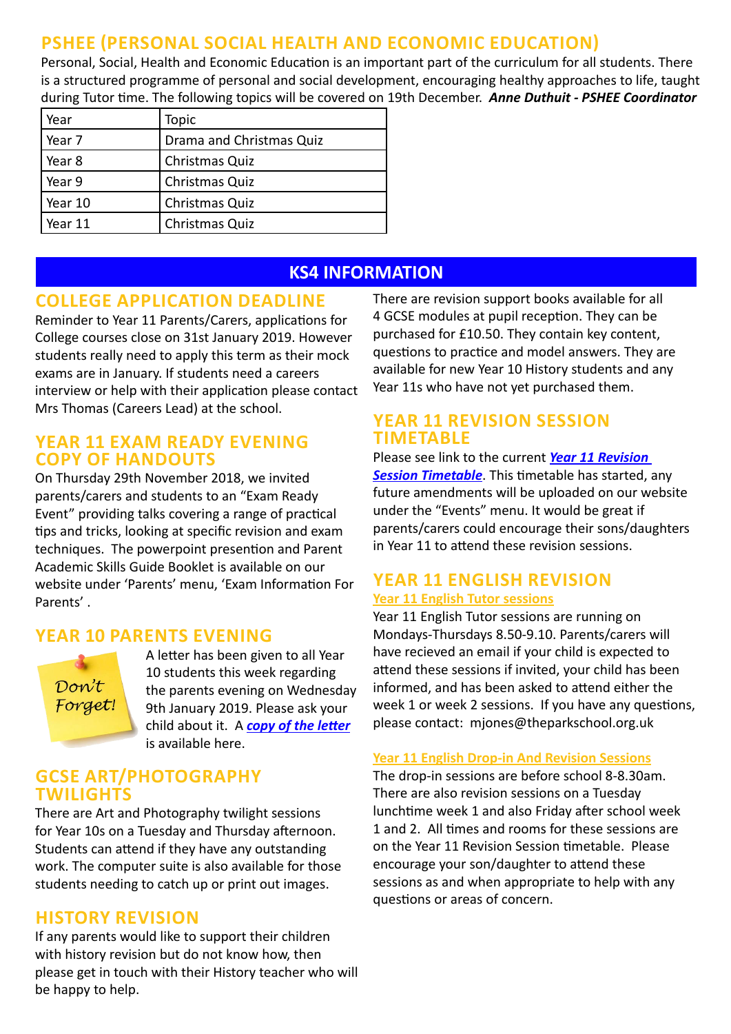# **PSHEE (PERSONAL SOCIAL HEALTH AND ECONOMIC EDUCATION)**

Personal, Social, Health and Economic Education is an important part of the curriculum for all students. There is a structured programme of personal and social development, encouraging healthy approaches to life, taught during Tutor time. The following topics will be covered on 19th December. *Anne Duthuit - PSHEE Coordinator* 

| Year    | <b>Topic</b>             |
|---------|--------------------------|
| Year 7  | Drama and Christmas Quiz |
| Year 8  | Christmas Quiz           |
| Year 9  | Christmas Quiz           |
| Year 10 | Christmas Quiz           |
| Year 11 | Christmas Quiz           |

# **KS4 INFORMATION**

# **COLLEGE APPLICATION DEADLINE**

Reminder to Year 11 Parents/Carers, applications for College courses close on 31st January 2019. However students really need to apply this term as their mock exams are in January. If students need a careers interview or help with their application please contact Mrs Thomas (Careers Lead) at the school.

#### **YEAR 11 EXAM READY EVENING COPY OF HANDOUTS**

On Thursday 29th November 2018, we invited parents/carers and students to an "Exam Ready Event" providing talks covering a range of practical tips and tricks, looking at specific revision and exam techniques. The powerpoint presention and Parent Academic Skills Guide Booklet is available on our website under 'Parents' menu, 'Exam Information For Parents' .

# **YEAR 10 PARENTS EVENING**

Don't Forget! A letter has been given to all Year 10 students this week regarding the parents evening on Wednesday 9th January 2019. Please ask your child about it. A *[copy of the letter](http://www.theparkschool.org.uk/sites/default/files/y10Par.Eve_.%20AppointmentSheet18-19.pdf)* is available here.

### **GCSE ART/PHOTOGRAPHY TWILIGHTS**

There are Art and Photography twilight sessions for Year 10s on a Tuesday and Thursday afternoon. Students can attend if they have any outstanding work. The computer suite is also available for those students needing to catch up or print out images.

## **HISTORY REVISION**

If any parents would like to support their children with history revision but do not know how, then please get in touch with their History teacher who will be happy to help.

There are revision support books available for all 4 GCSE modules at pupil reception. They can be purchased for £10.50. They contain key content, questions to practice and model answers. They are available for new Year 10 History students and any Year 11s who have not yet purchased them.

## **YEAR 11 REVISION SESSION TIMETABLE**

Please see link to the current *[Year 11 Revision](https://docs.google.com/document/d/1dNMh7-L1kyihGF64pufxK6rpksF0LmhP7VMcilHf7oM/edit?usp=sharing)  [Session Timetable](https://docs.google.com/document/d/1dNMh7-L1kyihGF64pufxK6rpksF0LmhP7VMcilHf7oM/edit?usp=sharing)*. This timetable has started, any future amendments will be uploaded on our website under the "Events" menu. It would be great if parents/carers could encourage their sons/daughters in Year 11 to attend these revision sessions.

#### **YEAR 11 ENGLISH REVISION Year 11 English Tutor sessions**

Year 11 English Tutor sessions are running on Mondays-Thursdays 8.50-9.10. Parents/carers will have recieved an email if your child is expected to attend these sessions if invited, your child has been informed, and has been asked to attend either the week 1 or week 2 sessions. If you have any questions, please contact: mjones@theparkschool.org.uk

#### **Year 11 English Drop-in And Revision Sessions**

The drop-in sessions are before school 8-8.30am. There are also revision sessions on a Tuesday lunchtime week 1 and also Friday after school week 1 and 2. All times and rooms for these sessions are on the Year 11 Revision Session timetable. Please encourage your son/daughter to attend these sessions as and when appropriate to help with any questions or areas of concern.